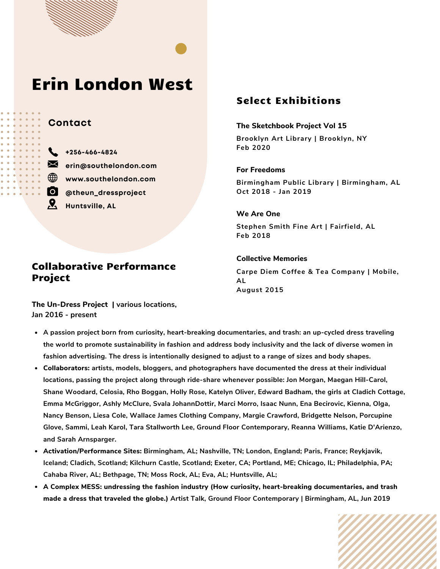# Erin London West

### **Contact**

Project

**+256-466-4824 erin@southelondon.com www.southelondon.com @theun\_dressproject Huntsville, AL**

# Select Exhibitions

#### **The Sketchbook Project Vol 15**

**Brooklyn Art Library | Brooklyn, NY Feb 2020**

**For Freedoms**

**Birmingham Public Library | Birmingham, AL Oct 2018 - Jan 2019**

**We Are One Stephen Smith Fine Art | Fairfield, AL Feb 2018**

**Collective Memories Carpe Diem Coffee & Tea Company | Mobile, AL August 2015**

**The Un-Dress Project | various locations, Jan 2016 - present**

Collaborative Performance

- **A passion project born from curiosity, heart-breaking documentaries, and trash: an up-cycled dress traveling** the world to promote sustainability in fashion and address body inclusivity and the lack of diverse women in **fashion advertising. The dress is intentionally designed to adjust to a range of sizes and body shapes.**
- **Collaborators: artists, models, bloggers, and photographers have documented the dress at their individual locations, passing the project along through ride-share whenever possible: Jon Morgan, Maegan Hill-Carol, Shane Woodard, Celosia, Rho Boggan, Holly Rose, Katelyn Oliver, Edward Badham, the girls at Cladich Cottage, Emma McGriggor, Ashly McClure, Svala JohannDottir, Marci Morro, Isaac Nunn, Ena Becirovic, Kienna, Olga, Nancy Benson, Liesa Cole, Wallace James Clothing Company, Margie Crawford, Bridgette Nelson, Porcupine Glove, Sammi, Leah Karol, Tara Stallworth Lee, Ground Floor Contemporary, Reanna Williams, Katie D'Arienzo, and Sarah Arnsparger.**
- **Activation/Performance Sites: Birmingham, AL; Nashville, TN; London, England; Paris, France; Reykjavik, Iceland; Cladich, Scotland; Kilchurn Castle, Scotland; Exeter, CA; Portland, ME; Chicago, IL; Philadelphia, PA; Cahaba River, AL; Bethpage, TN; Moss Rock, AL; Eva, AL; Huntsville, AL;**
- **A Complex MESS: undressing the fashion industry (How curiosity, heart-breaking documentaries, and trash made a dress that traveled the globe.) Artist Talk, Ground Floor Contemporary | Birmingham, AL, Jun 2019**